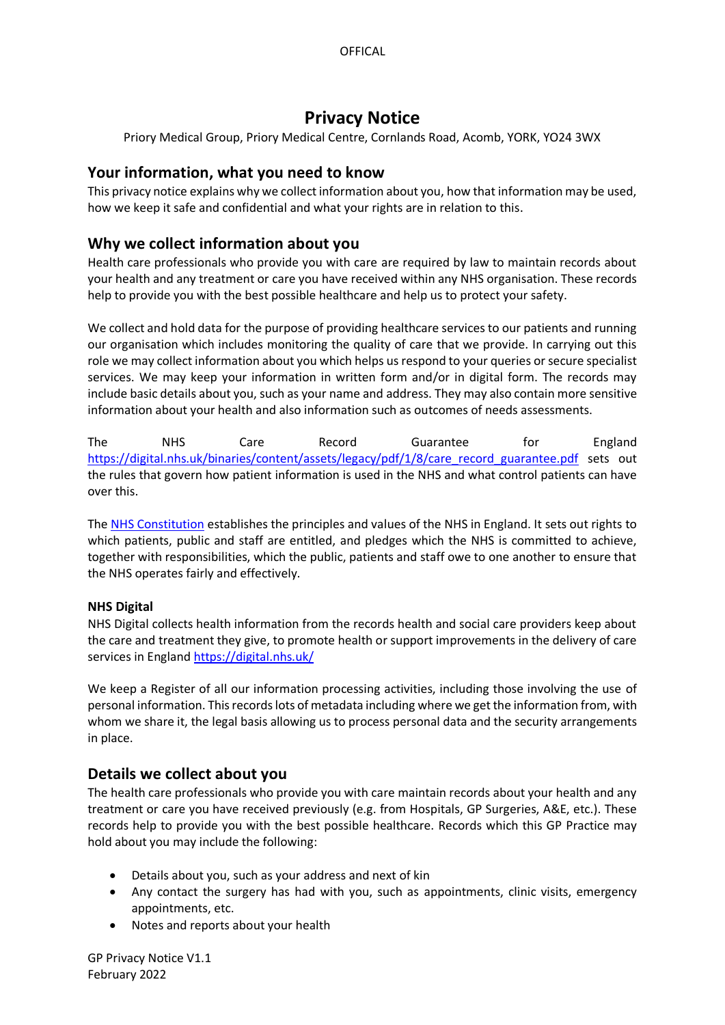# **Privacy Notice**

Priory Medical Group, Priory Medical Centre, Cornlands Road, Acomb, YORK, YO24 3WX

# **Your information, what you need to know**

This privacy notice explains why we collect information about you, how that information may be used, how we keep it safe and confidential and what your rights are in relation to this.

# **Why we collect information about you**

Health care professionals who provide you with care are required by law to maintain records about your health and any treatment or care you have received within any NHS organisation. These records help to provide you with the best possible healthcare and help us to protect your safety.

We collect and hold data for the purpose of providing healthcare services to our patients and running our organisation which includes monitoring the quality of care that we provide. In carrying out this role we may collect information about you which helps us respond to your queries or secure specialist services. We may keep your information in written form and/or in digital form. The records may include basic details about you, such as your name and address. They may also contain more sensitive information about your health and also information such as outcomes of needs assessments.

The NHS Care Record Guarantee for England [https://digital.nhs.uk/binaries/content/assets/legacy/pdf/1/8/care\\_record\\_guarantee.pdf](https://digital.nhs.uk/binaries/content/assets/legacy/pdf/1/8/care_record_guarantee.pdf) sets out the rules that govern how patient information is used in the NHS and what control patients can have over this.

The [NHS Constitution](https://www.gov.uk/government/publications/the-nhs-constitution-for-england) establishes the principles and values of the NHS in England. It sets out rights to which patients, public and staff are entitled, and pledges which the NHS is committed to achieve, together with responsibilities, which the public, patients and staff owe to one another to ensure that the NHS operates fairly and effectively.

## **NHS Digital**

NHS Digital collects health information from the records health and social care providers keep about the care and treatment they give, to promote health or support improvements in the delivery of care services in England <https://digital.nhs.uk/>

We keep a Register of all our information processing activities, including those involving the use of personal information. This records lots of metadata including where we get the information from, with whom we share it, the legal basis allowing us to process personal data and the security arrangements in place.

# **Details we collect about you**

The health care professionals who provide you with care maintain records about your health and any treatment or care you have received previously (e.g. from Hospitals, GP Surgeries, A&E, etc.). These records help to provide you with the best possible healthcare. Records which this GP Practice may hold about you may include the following:

- Details about you, such as your address and next of kin
- Any contact the surgery has had with you, such as appointments, clinic visits, emergency appointments, etc.
- Notes and reports about your health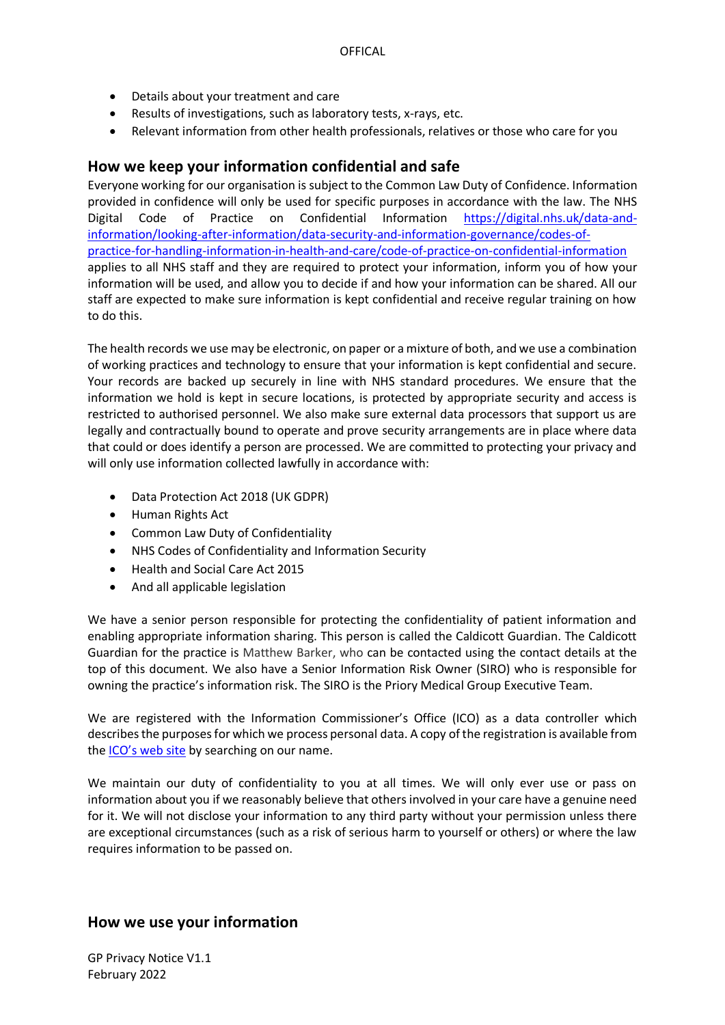- Details about your treatment and care
- Results of investigations, such as laboratory tests, x-rays, etc.
- Relevant information from other health professionals, relatives or those who care for you

# **How we keep your information confidential and safe**

Everyone working for our organisation is subject to the Common Law Duty of Confidence. Information provided in confidence will only be used for specific purposes in accordance with the law. The NHS Digital Code of Practice on Confidential Information [https://digital.nhs.uk/data-and](https://digital.nhs.uk/data-and-information/looking-after-information/data-security-and-information-governance/codes-of-practice-for-handling-information-in-health-and-care/code-of-practice-on-confidential-information)[information/looking-after-information/data-security-and-information-governance/codes-of](https://digital.nhs.uk/data-and-information/looking-after-information/data-security-and-information-governance/codes-of-practice-for-handling-information-in-health-and-care/code-of-practice-on-confidential-information)[practice-for-handling-information-in-health-and-care/code-of-practice-on-confidential-information](https://digital.nhs.uk/data-and-information/looking-after-information/data-security-and-information-governance/codes-of-practice-for-handling-information-in-health-and-care/code-of-practice-on-confidential-information) applies to all NHS staff and they are required to protect your information, inform you of how your information will be used, and allow you to decide if and how your information can be shared. All our staff are expected to make sure information is kept confidential and receive regular training on how to do this.

The health records we use may be electronic, on paper or a mixture of both, and we use a combination of working practices and technology to ensure that your information is kept confidential and secure. Your records are backed up securely in line with NHS standard procedures. We ensure that the information we hold is kept in secure locations, is protected by appropriate security and access is restricted to authorised personnel. We also make sure external data processors that support us are legally and contractually bound to operate and prove security arrangements are in place where data that could or does identify a person are processed. We are committed to protecting your privacy and will only use information collected lawfully in accordance with:

- Data Protection Act 2018 (UK GDPR)
- Human Rights Act
- Common Law Duty of Confidentiality
- NHS Codes of Confidentiality and Information Security
- Health and Social Care Act 2015
- And all applicable legislation

We have a senior person responsible for protecting the confidentiality of patient information and enabling appropriate information sharing. This person is called the Caldicott Guardian. The Caldicott Guardian for the practice is Matthew Barker, who can be contacted using the contact details at the top of this document. We also have a Senior Information Risk Owner (SIRO) who is responsible for owning the practice's information risk. The SIRO is the Priory Medical Group Executive Team.

We are registered with the Information Commissioner's Office (ICO) as a data controller which describes the purposes for which we process personal data. A copy of the registration is available from the [ICO's web site](https://ico.org.uk/about-the-ico/what-we-do/register-of-data-controllers/) by searching on our name.

We maintain our duty of confidentiality to you at all times. We will only ever use or pass on information about you if we reasonably believe that others involved in your care have a genuine need for it. We will not disclose your information to any third party without your permission unless there are exceptional circumstances (such as a risk of serious harm to yourself or others) or where the law requires information to be passed on.

# **How we use your information**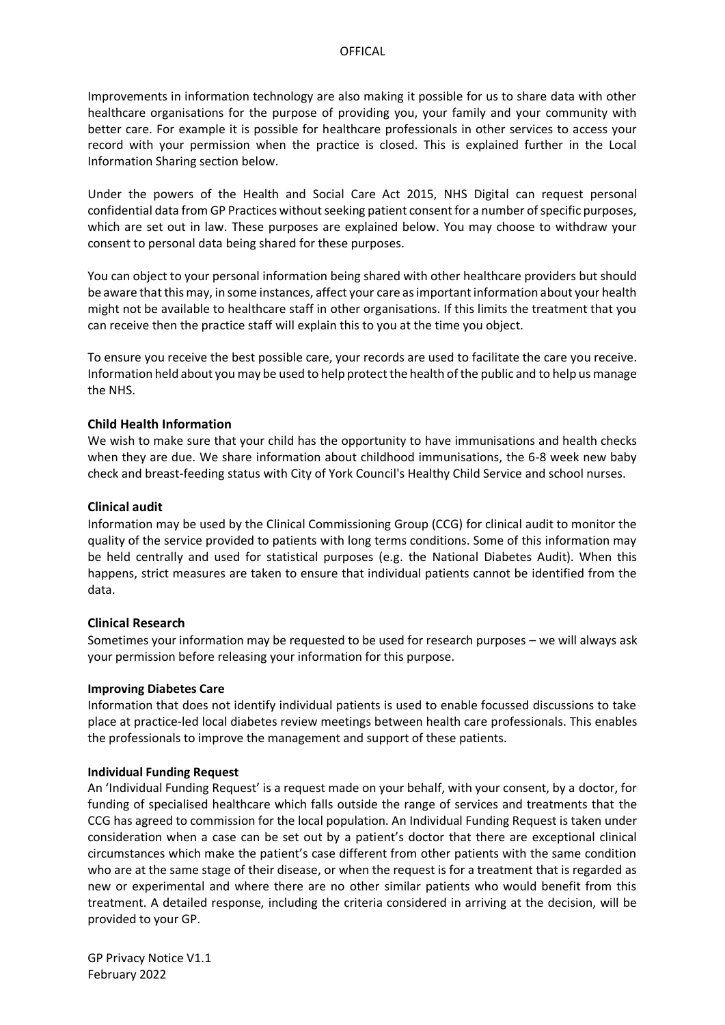Improvements in information technology are also making it possible for us to share data with other healthcare organisations for the purpose of providing you, your family and your community with better care. For example it is possible for healthcare professionals in other services to access your record with your permission when the practice is closed. This is explained further in the Local Information Sharing section below.

Under the powers of the Health and Social Care Act 2015, NHS Digital can request personal confidential data from GP Practices without seeking patient consent for a number of specific purposes, which are set out in law. These purposes are explained below. You may choose to withdraw your consent to personal data being shared for these purposes.

You can object to your personal information being shared with other healthcare providers but should be aware that this may, in some instances, affect your care as important information about your health might not be available to healthcare staff in other organisations. If this limits the treatment that you can receive then the practice staff will explain this to you at the time you object.

To ensure you receive the best possible care, your records are used to facilitate the care you receive. Information held about you may be used to help protect the health of the public and to help us manage the NHS.

## **Child Health Information**

We wish to make sure that your child has the opportunity to have immunisations and health checks when they are due. We share information about childhood immunisations, the 6-8 week new baby check and breast-feeding status with City of York Council's Healthy Child Service and school nurses.

## **Clinical audit**

Information may be used by the Clinical Commissioning Group (CCG) for clinical audit to monitor the quality of the service provided to patients with long terms conditions. Some of this information may be held centrally and used for statistical purposes (e.g. the National Diabetes Audit). When this happens, strict measures are taken to ensure that individual patients cannot be identified from the data.

## **Clinical Research**

Sometimes your information may be requested to be used for research purposes – we will always ask your permission before releasing your information for this purpose.

## **Improving Diabetes Care**

Information that does not identify individual patients is used to enable focussed discussions to take place at practice-led local diabetes review meetings between health care professionals. This enables the professionals to improve the management and support of these patients.

## **Individual Funding Request**

An 'Individual Funding Request' is a request made on your behalf, with your consent, by a doctor, for funding of specialised healthcare which falls outside the range of services and treatments that the CCG has agreed to commission for the local population. An Individual Funding Request is taken under consideration when a case can be set out by a patient's doctor that there are exceptional clinical circumstances which make the patient's case different from other patients with the same condition who are at the same stage of their disease, or when the request is for a treatment that is regarded as new or experimental and where there are no other similar patients who would benefit from this treatment. A detailed response, including the criteria considered in arriving at the decision, will be provided to your GP.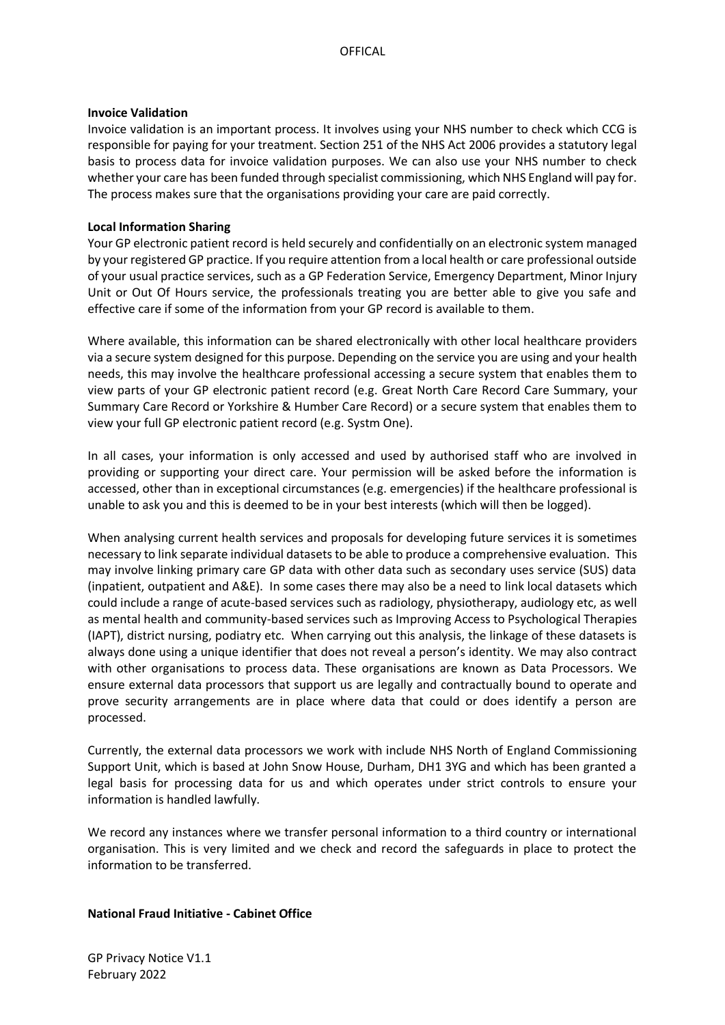#### **Invoice Validation**

Invoice validation is an important process. It involves using your NHS number to check which CCG is responsible for paying for your treatment. Section 251 of the NHS Act 2006 provides a statutory legal basis to process data for invoice validation purposes. We can also use your NHS number to check whether your care has been funded through specialist commissioning, which NHS England will pay for. The process makes sure that the organisations providing your care are paid correctly.

### **Local Information Sharing**

Your GP electronic patient record is held securely and confidentially on an electronic system managed by your registered GP practice. If you require attention from a local health or care professional outside of your usual practice services, such as a GP Federation Service, Emergency Department, Minor Injury Unit or Out Of Hours service, the professionals treating you are better able to give you safe and effective care if some of the information from your GP record is available to them.

Where available, this information can be shared electronically with other local healthcare providers via a secure system designed for this purpose. Depending on the service you are using and your health needs, this may involve the healthcare professional accessing a secure system that enables them to view parts of your GP electronic patient record (e.g. Great North Care Record Care Summary, your Summary Care Record or Yorkshire & Humber Care Record) or a secure system that enables them to view your full GP electronic patient record (e.g. Systm One).

In all cases, your information is only accessed and used by authorised staff who are involved in providing or supporting your direct care. Your permission will be asked before the information is accessed, other than in exceptional circumstances (e.g. emergencies) if the healthcare professional is unable to ask you and this is deemed to be in your best interests (which will then be logged).

When analysing current health services and proposals for developing future services it is sometimes necessary to link separate individual datasets to be able to produce a comprehensive evaluation. This may involve linking primary care GP data with other data such as secondary uses service (SUS) data (inpatient, outpatient and A&E). In some cases there may also be a need to link local datasets which could include a range of acute-based services such as radiology, physiotherapy, audiology etc, as well as mental health and community-based services such as Improving Access to Psychological Therapies (IAPT), district nursing, podiatry etc. When carrying out this analysis, the linkage of these datasets is always done using a unique identifier that does not reveal a person's identity. We may also contract with other organisations to process data. These organisations are known as Data Processors. We ensure external data processors that support us are legally and contractually bound to operate and prove security arrangements are in place where data that could or does identify a person are processed.

Currently, the external data processors we work with include NHS North of England Commissioning Support Unit, which is based at John Snow House, Durham, DH1 3YG and which has been granted a legal basis for processing data for us and which operates under strict controls to ensure your information is handled lawfully.

We record any instances where we transfer personal information to a third country or international organisation. This is very limited and we check and record the safeguards in place to protect the information to be transferred.

## **National Fraud Initiative - Cabinet Office**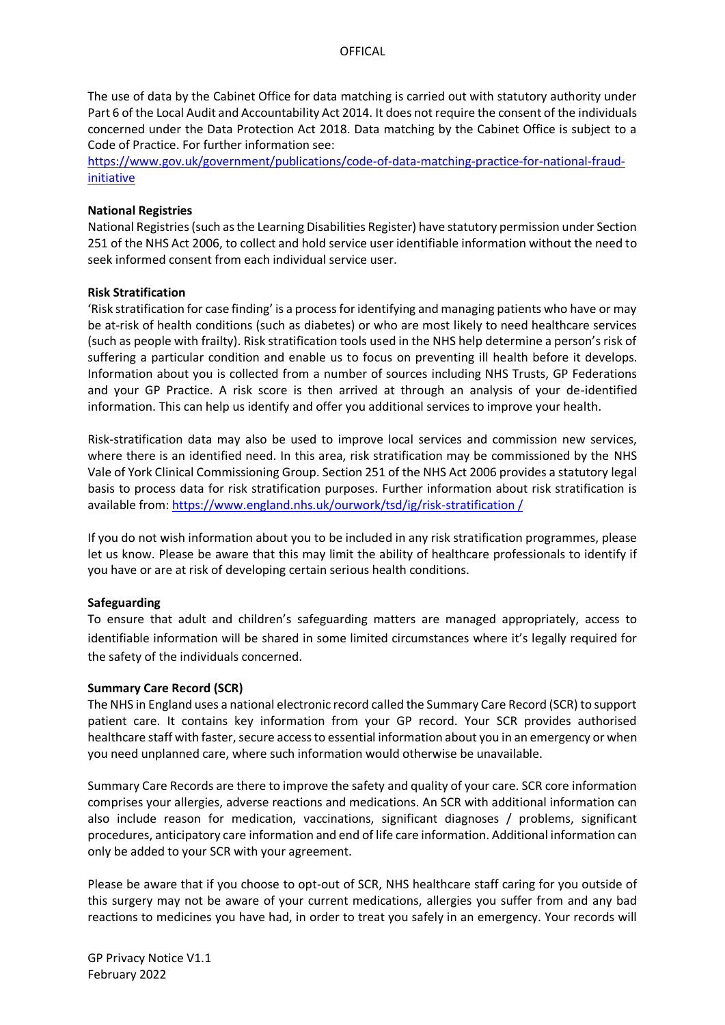The use of data by the Cabinet Office for data matching is carried out with statutory authority under Part 6 of the Local Audit and Accountability Act 2014. It does not require the consent of the individuals concerned under the Data Protection Act 2018. Data matching by the Cabinet Office is subject to a Code of Practice. For further information see:

[https://www.gov.uk/government/publications/code-of-data-matching-practice-for-national-fraud](https://www.gov.uk/government/publications/code-of-data-matching-practice-for-national-fraud-initiative)[initiative](https://www.gov.uk/government/publications/code-of-data-matching-practice-for-national-fraud-initiative)

### **National Registries**

National Registries (such as the Learning Disabilities Register) have statutory permission under Section 251 of the NHS Act 2006, to collect and hold service user identifiable information without the need to seek informed consent from each individual service user.

#### **Risk Stratification**

'Risk stratification for case finding' is a process for identifying and managing patients who have or may be at-risk of health conditions (such as diabetes) or who are most likely to need healthcare services (such as people with frailty). Risk stratification tools used in the NHS help determine a person's risk of suffering a particular condition and enable us to focus on preventing ill health before it develops. Information about you is collected from a number of sources including NHS Trusts, GP Federations and your GP Practice. A risk score is then arrived at through an analysis of your de-identified information. This can help us identify and offer you additional services to improve your health.

Risk-stratification data may also be used to improve local services and commission new services, where there is an identified need. In this area, risk stratification may be commissioned by the NHS Vale of York Clinical Commissioning Group. Section 251 of the NHS Act 2006 provides a statutory legal basis to process data for risk stratification purposes. Further information about risk stratification is available from: [https://www.england.nhs.uk/ourwork/tsd/ig/risk-stratification /](https://www.england.nhs.uk/ourwork/tsd/ig/risk-stratification%20/)

If you do not wish information about you to be included in any risk stratification programmes, please let us know. Please be aware that this may limit the ability of healthcare professionals to identify if you have or are at risk of developing certain serious health conditions.

## **Safeguarding**

To ensure that adult and children's safeguarding matters are managed appropriately, access to identifiable information will be shared in some limited circumstances where it's legally required for the safety of the individuals concerned.

## **Summary Care Record (SCR)**

The NHS in England uses a national electronic record called the Summary Care Record (SCR) to support patient care. It contains key information from your GP record. Your SCR provides authorised healthcare staff with faster, secure access to essential information about you in an emergency or when you need unplanned care, where such information would otherwise be unavailable.

Summary Care Records are there to improve the safety and quality of your care. SCR core information comprises your allergies, adverse reactions and medications. An SCR with additional information can also include reason for medication, vaccinations, significant diagnoses / problems, significant procedures, anticipatory care information and end of life care information. Additional information can only be added to your SCR with your agreement.

Please be aware that if you choose to opt-out of SCR, NHS healthcare staff caring for you outside of this surgery may not be aware of your current medications, allergies you suffer from and any bad reactions to medicines you have had, in order to treat you safely in an emergency. Your records will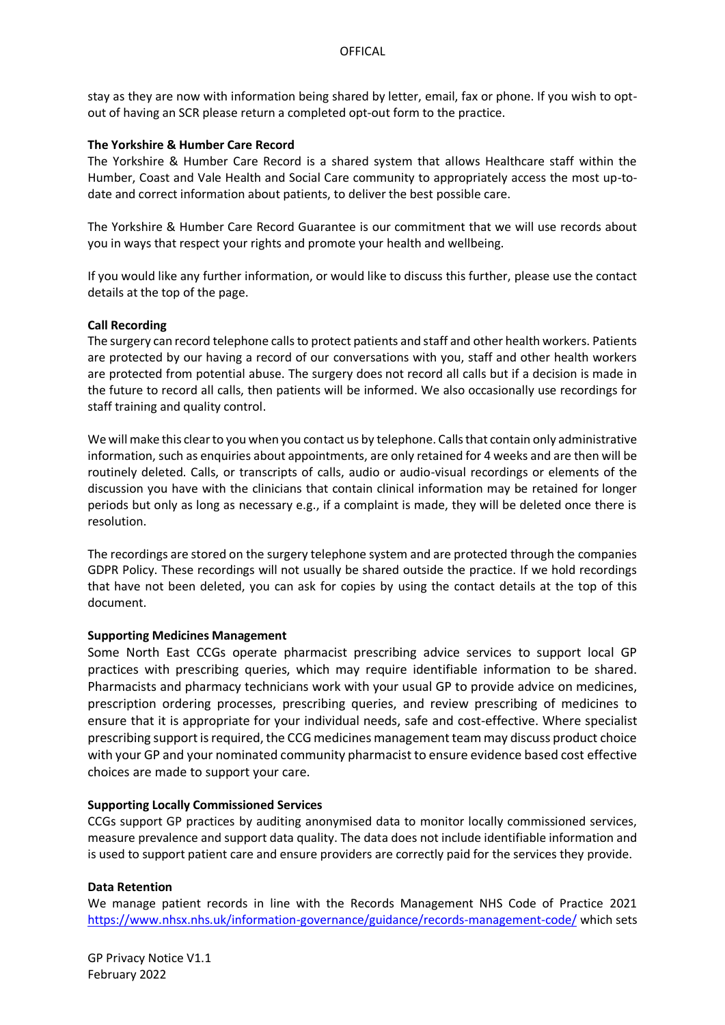stay as they are now with information being shared by letter, email, fax or phone. If you wish to optout of having an SCR please return a completed opt-out form to the practice.

## **The Yorkshire & Humber Care Record**

The Yorkshire & Humber Care Record is a shared system that allows Healthcare staff within the Humber, Coast and Vale Health and Social Care community to appropriately access the most up-todate and correct information about patients, to deliver the best possible care.

The Yorkshire & Humber Care Record Guarantee is our commitment that we will use records about you in ways that respect your rights and promote your health and wellbeing.

If you would like any further information, or would like to discuss this further, please use the contact details at the top of the page.

#### **Call Recording**

The surgery can record telephone calls to protect patients and staff and other health workers. Patients are protected by our having a record of our conversations with you, staff and other health workers are protected from potential abuse. The surgery does not record all calls but if a decision is made in the future to record all calls, then patients will be informed. We also occasionally use recordings for staff training and quality control.

We will make this clear to you when you contact us by telephone. Calls that contain only administrative information, such as enquiries about appointments, are only retained for 4 weeks and are then will be routinely deleted. Calls, or transcripts of calls, audio or audio-visual recordings or elements of the discussion you have with the clinicians that contain clinical information may be retained for longer periods but only as long as necessary e.g., if a complaint is made, they will be deleted once there is resolution.

The recordings are stored on the surgery telephone system and are protected through the companies GDPR Policy. These recordings will not usually be shared outside the practice. If we hold recordings that have not been deleted, you can ask for copies by using the contact details at the top of this document.

### **Supporting Medicines Management**

Some North East CCGs operate pharmacist prescribing advice services to support local GP practices with prescribing queries, which may require identifiable information to be shared. Pharmacists and pharmacy technicians work with your usual GP to provide advice on medicines, prescription ordering processes, prescribing queries, and review prescribing of medicines to ensure that it is appropriate for your individual needs, safe and cost-effective. Where specialist prescribing support is required, the CCG medicines management team may discuss product choice with your GP and your nominated community pharmacist to ensure evidence based cost effective choices are made to support your care.

#### **Supporting Locally Commissioned Services**

CCGs support GP practices by auditing anonymised data to monitor locally commissioned services, measure prevalence and support data quality. The data does not include identifiable information and is used to support patient care and ensure providers are correctly paid for the services they provide.

#### **Data Retention**

We manage patient records in line with the Records Management NHS Code of Practice 2021 <https://www.nhsx.nhs.uk/information-governance/guidance/records-management-code/> which sets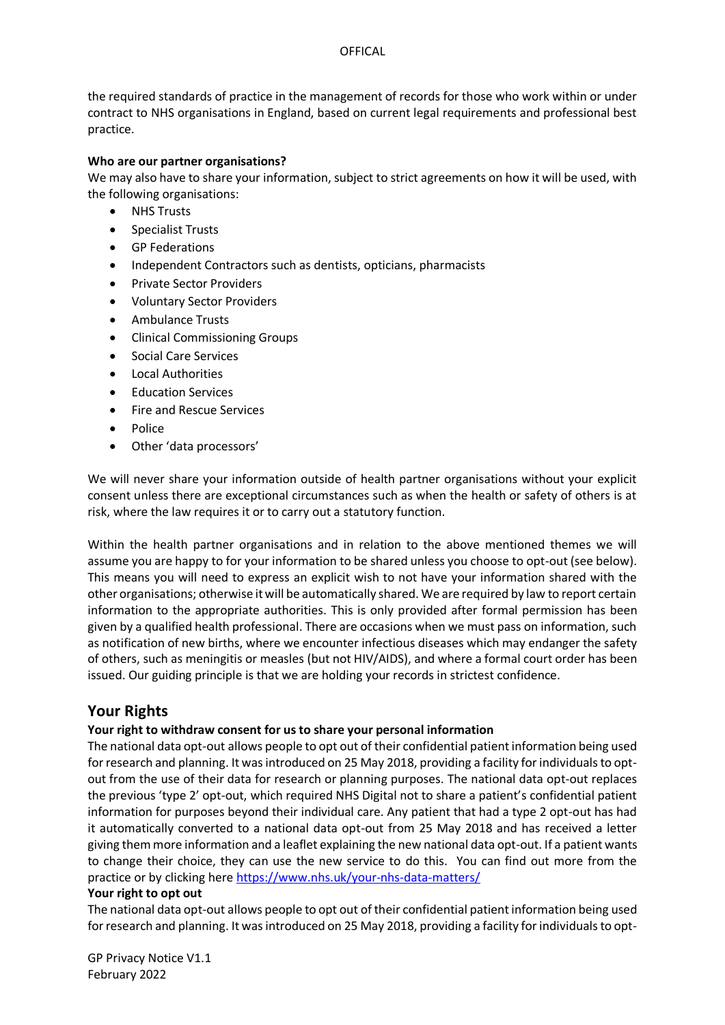## **OFFICAL**

the required standards of practice in the management of records for those who work within or under contract to NHS organisations in England, based on current legal requirements and professional best practice.

## **Who are our partner organisations?**

We may also have to share your information, subject to strict agreements on how it will be used, with the following organisations:

- NHS Trusts
- Specialist Trusts
- GP Federations
- Independent Contractors such as dentists, opticians, pharmacists
- Private Sector Providers
- Voluntary Sector Providers
- Ambulance Trusts
- Clinical Commissioning Groups
- Social Care Services
- Local Authorities
- **Education Services**
- Fire and Rescue Services
- Police
- Other 'data processors'

We will never share your information outside of health partner organisations without your explicit consent unless there are exceptional circumstances such as when the health or safety of others is at risk, where the law requires it or to carry out a statutory function.

Within the health partner organisations and in relation to the above mentioned themes we will assume you are happy to for your information to be shared unless you choose to opt-out (see below). This means you will need to express an explicit wish to not have your information shared with the other organisations; otherwise it will be automatically shared. We are required by law to report certain information to the appropriate authorities. This is only provided after formal permission has been given by a qualified health professional. There are occasions when we must pass on information, such as notification of new births, where we encounter infectious diseases which may endanger the safety of others, such as meningitis or measles (but not HIV/AIDS), and where a formal court order has been issued. Our guiding principle is that we are holding your records in strictest confidence.

# **Your Rights**

## **Your right to withdraw consent for us to share your personal information**

The national data opt-out allows people to opt out of their confidential patient information being used for research and planning. It was introduced on 25 May 2018, providing a facility for individuals to optout from the use of their data for research or planning purposes. The national data opt-out replaces the previous 'type 2' opt-out, which required NHS Digital not to share a patient's confidential patient information for purposes beyond their individual care. Any patient that had a type 2 opt-out has had it automatically converted to a national data opt-out from 25 May 2018 and has received a letter giving them more information and a leaflet explaining the new national data opt-out. If a patient wants to change their choice, they can use the new service to do this. You can find out more from the practice or by clicking here<https://www.nhs.uk/your-nhs-data-matters/>

## **Your right to opt out**

The national data opt-out allows people to opt out of their confidential patient information being used for research and planning. It was introduced on 25 May 2018, providing a facility for individuals to opt-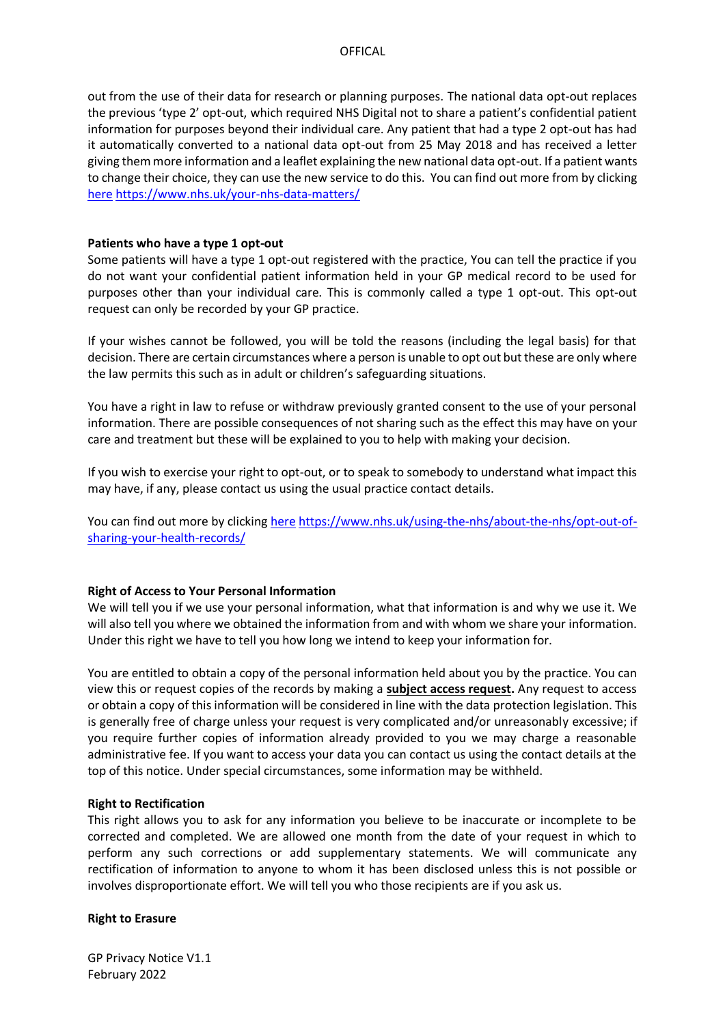out from the use of their data for research or planning purposes. The national data opt-out replaces the previous 'type 2' opt-out, which required NHS Digital not to share a patient's confidential patient information for purposes beyond their individual care. Any patient that had a type 2 opt-out has had it automatically converted to a national data opt-out from 25 May 2018 and has received a letter giving them more information and a leaflet explaining the new national data opt-out. If a patient wants to change their choice, they can use the new service to do this. You can find out more from by clicking [here](https://www.nhs.uk/your-nhs-data-matters/) <https://www.nhs.uk/your-nhs-data-matters/>

### **Patients who have a type 1 opt-out**

Some patients will have a type 1 opt-out registered with the practice, You can tell the practice if you do not want your confidential patient information held in your GP medical record to be used for purposes other than your individual care. This is commonly called a type 1 opt-out. This opt-out request can only be recorded by your GP practice.

If your wishes cannot be followed, you will be told the reasons (including the legal basis) for that decision. There are certain circumstances where a person is unable to opt out but these are only where the law permits this such as in adult or children's safeguarding situations.

You have a right in law to refuse or withdraw previously granted consent to the use of your personal information. There are possible consequences of not sharing such as the effect this may have on your care and treatment but these will be explained to you to help with making your decision.

If you wish to exercise your right to opt-out, or to speak to somebody to understand what impact this may have, if any, please contact us using the usual practice contact details.

You can find out more by clicking [here](https://www.nhs.uk/using-the-nhs/about-the-nhs/opt-out-of-sharing-your-health-records/) [https://www.nhs.uk/using-the-nhs/about-the-nhs/opt-out-of](https://www.nhs.uk/using-the-nhs/about-the-nhs/opt-out-of-sharing-your-health-records/)[sharing-your-health-records/](https://www.nhs.uk/using-the-nhs/about-the-nhs/opt-out-of-sharing-your-health-records/)

## **Right of Access to Your Personal Information**

We will tell you if we use your personal information, what that information is and why we use it. We will also tell you where we obtained the information from and with whom we share your information. Under this right we have to tell you how long we intend to keep your information for.

You are entitled to obtain a copy of the personal information held about you by the practice. You can view this or request copies of the records by making a **[subject access request.](https://ico.org.uk/for-the-public/personal-information/)** Any request to access or obtain a copy of this information will be considered in line with the data protection legislation. This is generally free of charge unless your request is very complicated and/or unreasonably excessive; if you require further copies of information already provided to you we may charge a reasonable administrative fee. If you want to access your data you can contact us using the contact details at the top of this notice. Under special circumstances, some information may be withheld.

#### **Right to Rectification**

This right allows you to ask for any information you believe to be inaccurate or incomplete to be corrected and completed. We are allowed one month from the date of your request in which to perform any such corrections or add supplementary statements. We will communicate any rectification of information to anyone to whom it has been disclosed unless this is not possible or involves disproportionate effort. We will tell you who those recipients are if you ask us.

## **Right to Erasure**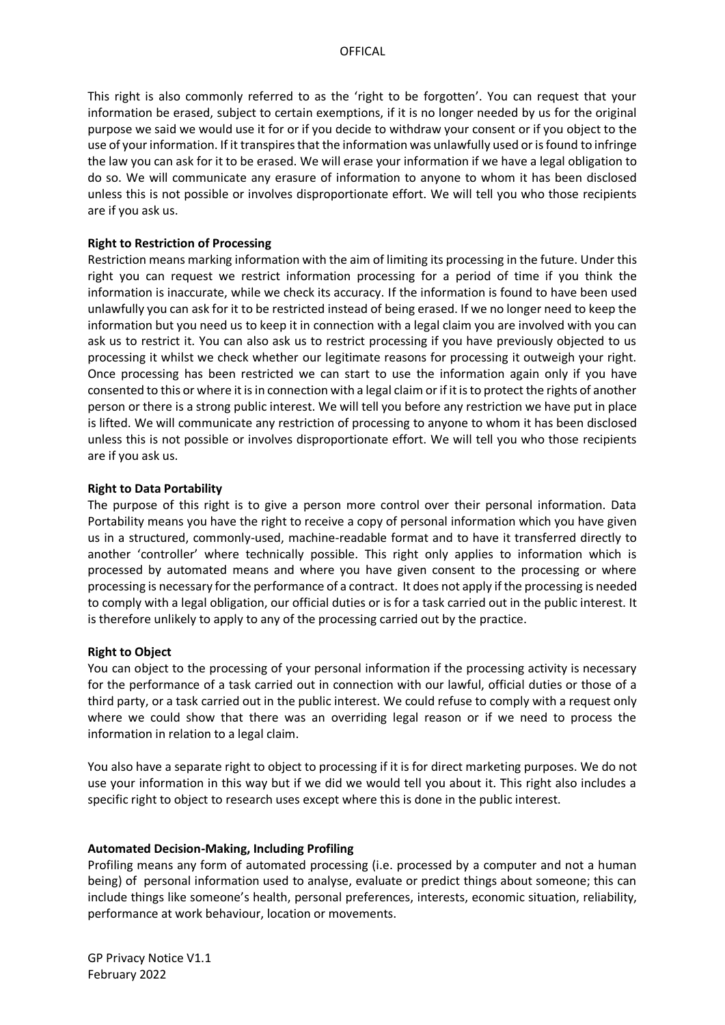This right is also commonly referred to as the 'right to be forgotten'. You can request that your information be erased, subject to certain exemptions, if it is no longer needed by us for the original purpose we said we would use it for or if you decide to withdraw your consent or if you object to the use of your information. If it transpires that the information was unlawfully used or is found to infringe the law you can ask for it to be erased. We will erase your information if we have a legal obligation to do so. We will communicate any erasure of information to anyone to whom it has been disclosed unless this is not possible or involves disproportionate effort. We will tell you who those recipients are if you ask us.

### **Right to Restriction of Processing**

Restriction means marking information with the aim of limiting its processing in the future. Under this right you can request we restrict information processing for a period of time if you think the information is inaccurate, while we check its accuracy. If the information is found to have been used unlawfully you can ask for it to be restricted instead of being erased. If we no longer need to keep the information but you need us to keep it in connection with a legal claim you are involved with you can ask us to restrict it. You can also ask us to restrict processing if you have previously objected to us processing it whilst we check whether our legitimate reasons for processing it outweigh your right. Once processing has been restricted we can start to use the information again only if you have consented to this or where it is in connection with a legal claim or if it is to protect the rights of another person or there is a strong public interest. We will tell you before any restriction we have put in place is lifted. We will communicate any restriction of processing to anyone to whom it has been disclosed unless this is not possible or involves disproportionate effort. We will tell you who those recipients are if you ask us.

#### **Right to Data Portability**

The purpose of this right is to give a person more control over their personal information. Data Portability means you have the right to receive a copy of personal information which you have given us in a structured, commonly-used, machine-readable format and to have it transferred directly to another 'controller' where technically possible. This right only applies to information which is processed by automated means and where you have given consent to the processing or where processing is necessary for the performance of a contract. It does not apply if the processing is needed to comply with a legal obligation, our official duties or is for a task carried out in the public interest. It is therefore unlikely to apply to any of the processing carried out by the practice.

## **Right to Object**

You can object to the processing of your personal information if the processing activity is necessary for the performance of a task carried out in connection with our lawful, official duties or those of a third party, or a task carried out in the public interest. We could refuse to comply with a request only where we could show that there was an overriding legal reason or if we need to process the information in relation to a legal claim.

You also have a separate right to object to processing if it is for direct marketing purposes. We do not use your information in this way but if we did we would tell you about it. This right also includes a specific right to object to research uses except where this is done in the public interest.

#### **Automated Decision-Making, Including Profiling**

Profiling means any form of automated processing (i.e. processed by a computer and not a human being) of personal information used to analyse, evaluate or predict things about someone; this can include things like someone's health, personal preferences, interests, economic situation, reliability, performance at work behaviour, location or movements.